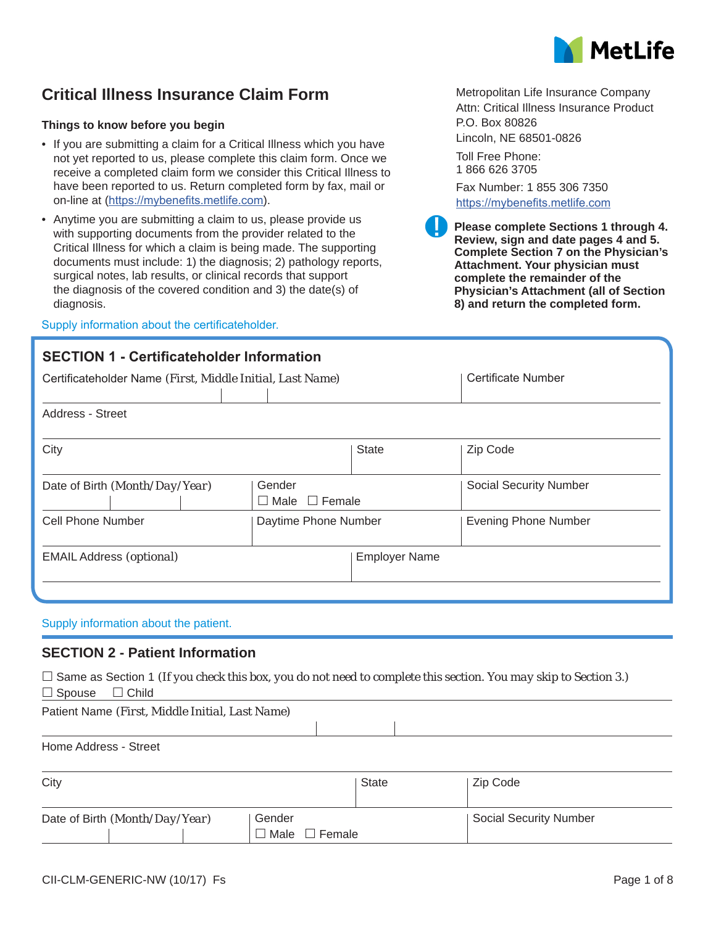

## **Critical Illness Insurance Claim Form**

#### **Things to know before you begin**

- If you are submitting a claim for a Critical Illness which you have not yet reported to us, please complete this claim form. Once we receive a completed claim form we consider this Critical Illness to have been reported to us. Return completed form by fax, mail or on-line at (https://mybenefits.metlife.com).
- Anytime you are submitting a claim to us, please provide us with supporting documents from the provider related to the Critical Illness for which a claim is being made. The supporting documents must include: 1) the diagnosis; 2) pathology reports, surgical notes, lab results, or clinical records that support the diagnosis of the covered condition and 3) the date(s) of diagnosis.

#### Supply information about the certificateholder.

## **SECTION 1 - Certificateholder Information**

|   | P.O. Box 80826                  |  |
|---|---------------------------------|--|
|   | Lincoln, NE 68501-0826          |  |
| ი | Toll Free Phone:<br>18666263705 |  |
|   | Fax Number: 1 855 306 7350      |  |
|   | https://mybenefits.metlife.com  |  |

**Please complete Sections 1 through 4. Review, sign and date pages 4 and 5. Complete Section 7 on the Physician's Attachment. Your physician must complete the remainder of the Physician's Attachment (all of Section 8) and return the completed form.**

Metropolitan Life Insurance Company Attn: Critical Illness Insurance Product

|                                                         | <b>State</b>         | Zip Code                              |
|---------------------------------------------------------|----------------------|---------------------------------------|
| Gender<br>Date of Birth (Month/Day/Year)<br>$\Box$ Male |                      | <b>Social Security Number</b>         |
|                                                         |                      | <b>Evening Phone Number</b>           |
|                                                         | <b>Employer Name</b> |                                       |
|                                                         |                      | $\Box$ Female<br>Daytime Phone Number |

#### Supply information about the patient.

### **SECTION 2 - Patient Information**

 $\Box$  Same as Section 1 *(If you check this box, you do not need to complete this section. You may skip to Section 3.)*  $\square$  Spouse  $\square$  Child

Patient Name *(First, Middle Initial, Last Name)*

Home Address - Street

| City                                     |                                           | State | Zip Code               |
|------------------------------------------|-------------------------------------------|-------|------------------------|
| Date of Birth (Month/Day/Year)<br>Gender |                                           |       | Social Security Number |
|                                          | $\blacksquare$ Male $\blacksquare$ Female |       |                        |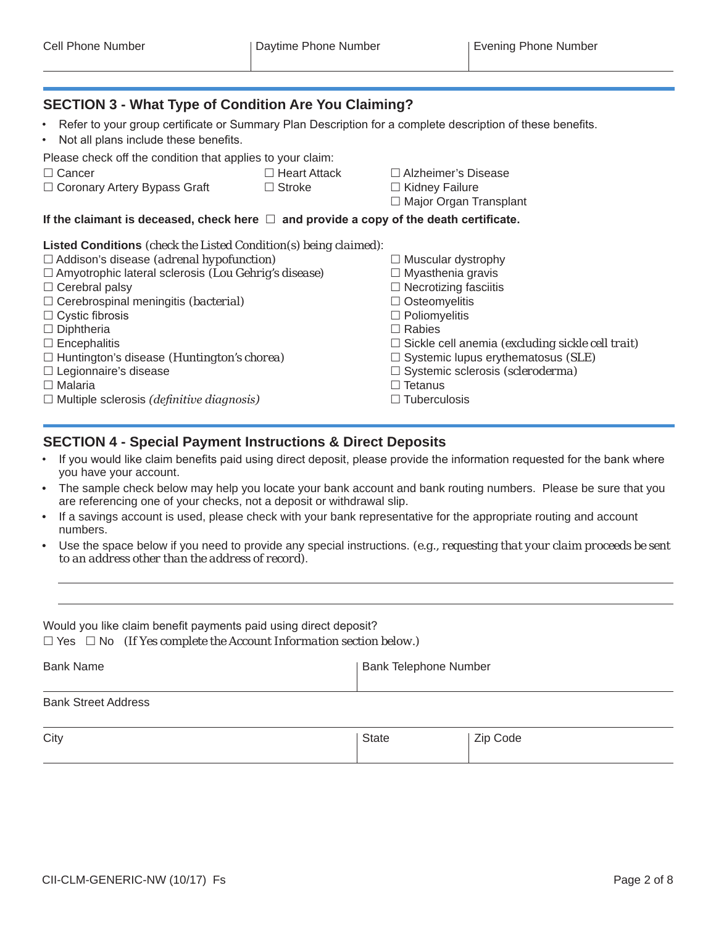## **SECTION 3 - What Type of Condition Are You Claiming?**

- Refer to your group certificate or Summary Plan Description for a complete description of these benefits.
- Not all plans include these benefits.

### Please check off the condition that applies to your claim:

Cancer Heart Attack Alzheimer's Disease

- $\Box$  Coronary Artery Bypass Graft  $\Box$  Stroke  $\Box$  Kidney Failure
- -
	- □ Major Organ Transplant

### If the claimant is deceased, check here  $\Box$  and provide a copy of the death certificate.

#### **Listed Conditions** *(check the Listed Condition(s) being claimed)*:

□ Addison's disease *(adrenal hypofunction)* △ △ △ △ Muscular dystrophy Amyotrophic lateral sclerosis *(Lou Gehrig's disease)* Myasthenia gravis  $\Box$  Cerebral palsy  $\Box$  Necrotizing fasciitis □ Cerebrospinal meningitis *(bacterial)* △ △ △ △ △ △ Osteomyelitis  $\Box$  Cystic fibrosis  $\Box$  Poliomyelitis  $\Box$  Diphtheria  $\Box$  Rabies Encephalitis Sickle cell anemia *(excluding sickle cell trait)* □ Huntington's disease *(Huntington's chorea)* □ Systemic lupus erythematosus *(SLE)* □ Legionnaire's disease **Systemic sclerosis** (scleroderma)  $\square$  Malaria  $\square$  Tetanus □ Multiple sclerosis *(definitive diagnosis)* Tuberculosis

## **SECTION 4 - Special Payment Instructions & Direct Deposits**

- If you would like claim benefits paid using direct deposit, please provide the information requested for the bank where you have your account.
- The sample check below may help you locate your bank account and bank routing numbers. Please be sure that you are referencing one of your checks, not a deposit or withdrawal slip.
- If a savings account is used, please check with your bank representative for the appropriate routing and account numbers.
- Use the space below if you need to provide any special instructions. *(e.g., requesting that your claim proceeds be sent to an address other than the address of record)*.

|  | Would you like claim benefit payments paid using direct deposit?              |
|--|-------------------------------------------------------------------------------|
|  | $\Box$ Yes $\Box$ No (If Yes complete the Account Information section below.) |

Bank Name **Bank Telephone Number** | Bank Telephone Number

#### Bank Street Address

| City | State | Zip Code |
|------|-------|----------|
|      |       |          |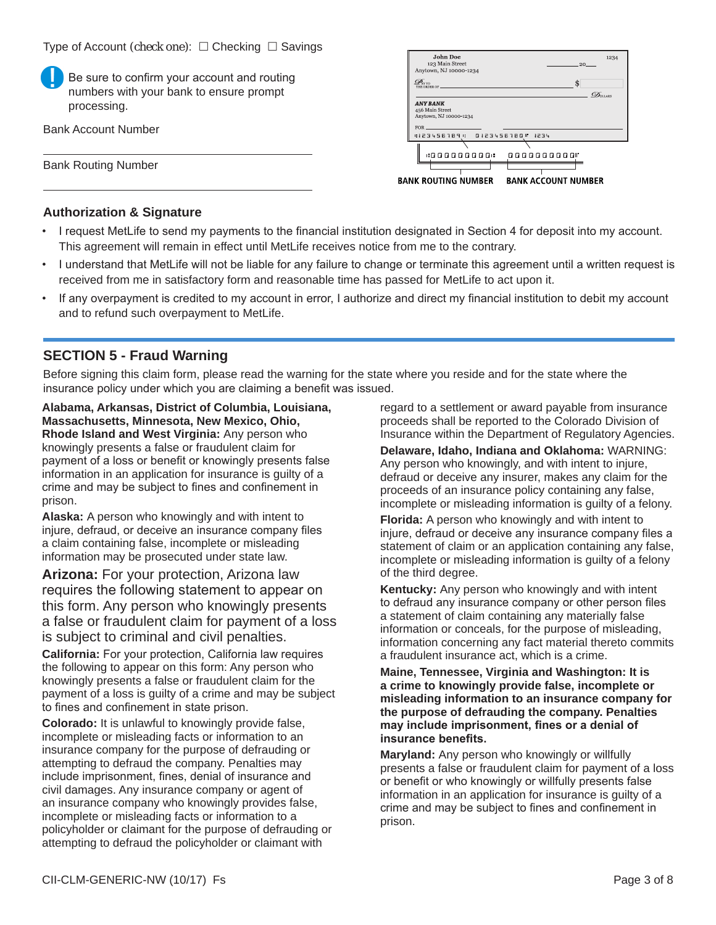| Be sure to confirm your account and routing<br>numbers with your bank to ensure prompt<br>processing. | эмин гле<br>12,54<br>123 Main Street<br>$-20$<br>Anytown, NJ 10000-1234<br>$\mathscr{D}_{\text{ATD}}$<br>THE ORDER OF<br>$\mathcal{D}_{\text{OLARS}}$<br><b>ANY BANK</b><br>456 Main Street<br>Anytown, NJ 10000-1234 |
|-------------------------------------------------------------------------------------------------------|-----------------------------------------------------------------------------------------------------------------------------------------------------------------------------------------------------------------------|
| <b>Bank Account Number</b>                                                                            | <b>FOR</b><br>:123456789 :<br>0123456780 1234                                                                                                                                                                         |
| <b>Bank Routing Number</b>                                                                            | .<br>0000000000"<br><b>BANK ROUTING NUMBER</b><br><b>BANK ACCOUNT NUMBER</b>                                                                                                                                          |

## **Authorization & Signature**

- I request MetLife to send my payments to the financial institution designated in Section 4 for deposit into my account. This agreement will remain in effect until MetLife receives notice from me to the contrary.
- I understand that MetLife will not be liable for any failure to change or terminate this agreement until a written request is received from me in satisfactory form and reasonable time has passed for MetLife to act upon it.
- If any overpayment is credited to my account in error, I authorize and direct my financial institution to debit my account and to refund such overpayment to MetLife.

## **SECTION 5 - Fraud Warning**

Before signing this claim form, please read the warning for the state where you reside and for the state where the insurance policy under which you are claiming a benefit was issued.

**Alabama, Arkansas, District of Columbia, Louisiana, Massachusetts, Minnesota, New Mexico, Ohio, Rhode Island and West Virginia:** Any person who knowingly presents a false or fraudulent claim for payment of a loss or benefit or knowingly presents false information in an application for insurance is guilty of a crime and may be subject to fines and confinement in prison.

**Alaska:** A person who knowingly and with intent to injure, defraud, or deceive an insurance company files a claim containing false, incomplete or misleading information may be prosecuted under state law.

**Arizona:** For your protection, Arizona law requires the following statement to appear on this form. Any person who knowingly presents a false or fraudulent claim for payment of a loss is subject to criminal and civil penalties.

**California:** For your protection, California law requires the following to appear on this form: Any person who knowingly presents a false or fraudulent claim for the payment of a loss is guilty of a crime and may be subject to fines and confinement in state prison.

**Colorado:** It is unlawful to knowingly provide false, incomplete or misleading facts or information to an insurance company for the purpose of defrauding or attempting to defraud the company. Penalties may include imprisonment, fines, denial of insurance and civil damages. Any insurance company or agent of an insurance company who knowingly provides false, incomplete or misleading facts or information to a policyholder or claimant for the purpose of defrauding or attempting to defraud the policyholder or claimant with

regard to a settlement or award payable from insurance proceeds shall be reported to the Colorado Division of Insurance within the Department of Regulatory Agencies.

**Delaware, Idaho, Indiana and Oklahoma:** WARNING: Any person who knowingly, and with intent to injure, defraud or deceive any insurer, makes any claim for the proceeds of an insurance policy containing any false, incomplete or misleading information is guilty of a felony.

**Florida:** A person who knowingly and with intent to injure, defraud or deceive any insurance company files a statement of claim or an application containing any false, incomplete or misleading information is guilty of a felony of the third degree.

**Kentucky:** Any person who knowingly and with intent to defraud any insurance company or other person files a statement of claim containing any materially false information or conceals, for the purpose of misleading, information concerning any fact material thereto commits a fraudulent insurance act, which is a crime.

**Maine, Tennessee, Virginia and Washington: It is a crime to knowingly provide false, incomplete or misleading information to an insurance company for the purpose of defrauding the company. Penalties may include imprisonment, fines or a denial of insurance benefits.**

**Maryland:** Any person who knowingly or willfully presents a false or fraudulent claim for payment of a loss or benefit or who knowingly or willfully presents false information in an application for insurance is guilty of a crime and may be subject to fines and confinement in prison.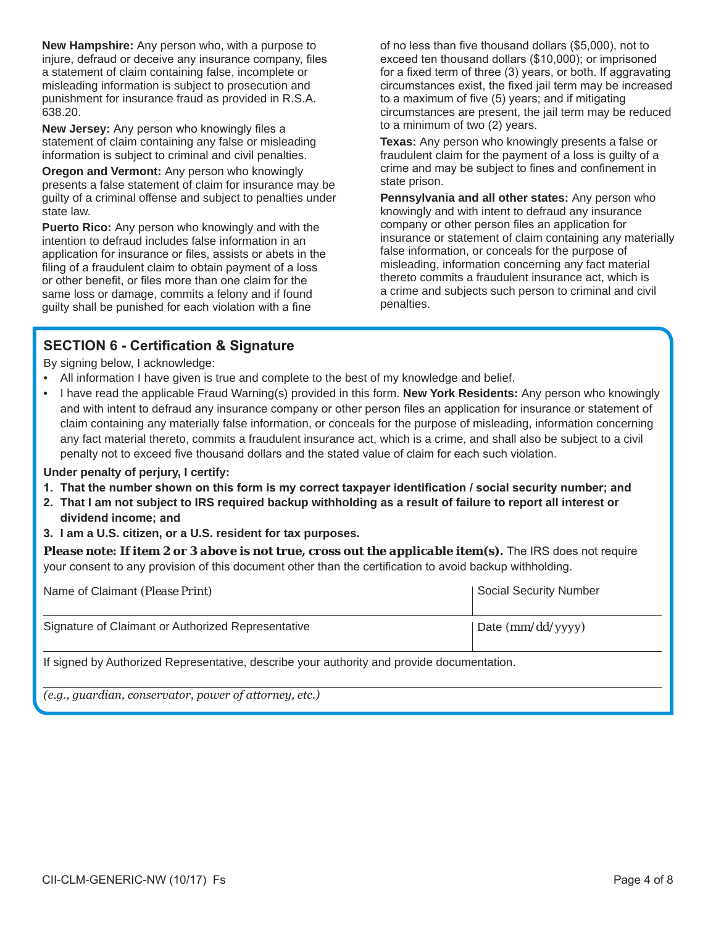**New Hampshire:** Any person who, with a purpose to injure, defraud or deceive any insurance company, files a statement of claim containing false, incomplete or misleading information is subject to prosecution and punishment for insurance fraud as provided in R.S.A. 638.20.

**New Jersey:** Any person who knowingly files a statement of claim containing any false or misleading information is subject to criminal and civil penalties.

**Oregon and Vermont:** Any person who knowingly presents a false statement of claim for insurance may be guilty of a criminal offense and subject to penalties under state law.

**Puerto Rico:** Any person who knowingly and with the intention to defraud includes false information in an application for insurance or files, assists or abets in the filing of a fraudulent claim to obtain payment of a loss or other benefit, or files more than one claim for the same loss or damage, commits a felony and if found guilty shall be punished for each violation with a fine

of no less than five thousand dollars (\$5,000), not to exceed ten thousand dollars (\$10,000); or imprisoned for a fixed term of three (3) years, or both. If aggravating circumstances exist, the fixed jail term may be increased to a maximum of five (5) years; and if mitigating circumstances are present, the jail term may be reduced to a minimum of two (2) years.

**Texas:** Any person who knowingly presents a false or fraudulent claim for the payment of a loss is guilty of a crime and may be subject to fines and confinement in state prison.

**Pennsylvania and all other states:** Any person who knowingly and with intent to defraud any insurance company or other person files an application for insurance or statement of claim containing any materially false information, or conceals for the purpose of misleading, information concerning any fact material thereto commits a fraudulent insurance act, which is a crime and subjects such person to criminal and civil penalties.

## **SECTION 6 - Certification & Signature**

By signing below, I acknowledge:

- All information I have given is true and complete to the best of my knowledge and belief.
- I have read the applicable Fraud Warning(s) provided in this form. **New York Residents:** Any person who knowingly and with intent to defraud any insurance company or other person files an application for insurance or statement of claim containing any materially false information, or conceals for the purpose of misleading, information concerning any fact material thereto, commits a fraudulent insurance act, which is a crime, and shall also be subject to a civil penalty not to exceed five thousand dollars and the stated value of claim for each such violation.

### **Under penalty of perjury, I certify:**

- **1. That the number shown on this form is my correct taxpayer identification / social security number; and**
- **2. That I am not subject to IRS required backup withholding as a result of failure to report all interest or dividend income; and**
- **3. I am a U.S. citizen, or a U.S. resident for tax purposes.**

*Please note: If item 2 or 3 above is not true, cross out the applicable item(s).* **The IRS does not require** your consent to any provision of this document other than the certification to avoid backup withholding.

| Name of Claimant (Please Print)                                                            | <b>Social Security Number</b> |  |
|--------------------------------------------------------------------------------------------|-------------------------------|--|
| Signature of Claimant or Authorized Representative                                         | Date $(mm/dd/yyyy)$           |  |
| If signed by Authorized Representative, describe your authority and provide documentation. |                               |  |
| (e.g., guardian, conservator, power of attorney, etc.)                                     |                               |  |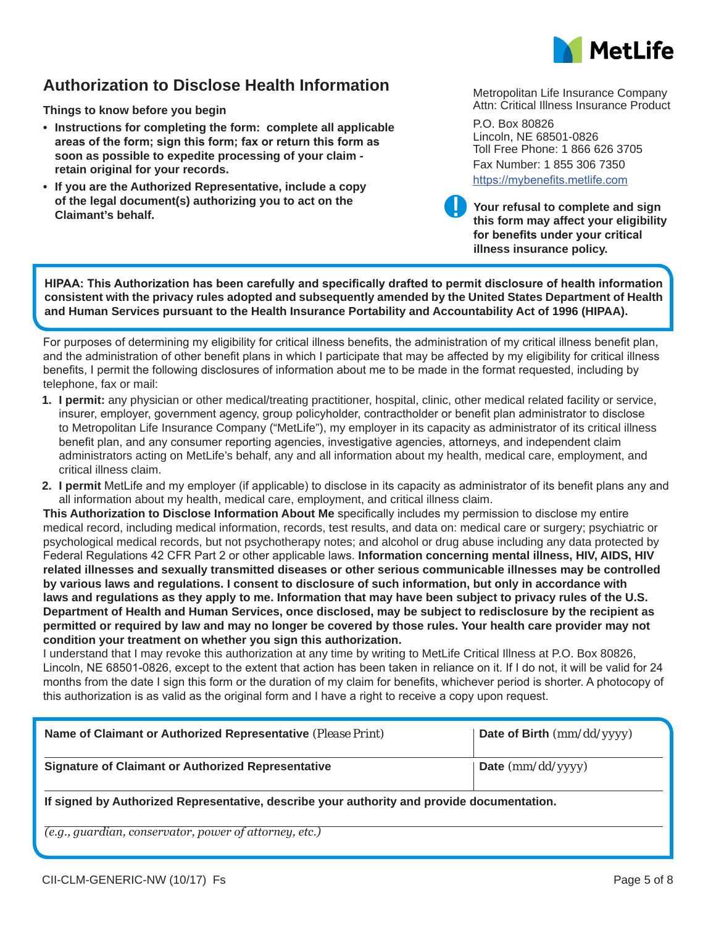

## **Authorization to Disclose Health Information**

**Things to know before you begin**

- **• Instructions for completing the form: complete all applicable areas of the form; sign this form; fax or return this form as soon as possible to expedite processing of your claim retain original for your records.**
- **• If you are the Authorized Representative, include a copy of the legal document(s) authorizing you to act on the Claimant's behalf. Your refusal to complete and sign**

Metropolitan Life Insurance Company Attn: Critical Illness Insurance Product

P.O. Box 80826 Lincoln, NE 68501-0826 Toll Free Phone: 1 866 626 3705 Fax Number: 1 855 306 7350 https://mybenefits.metlife.com

**this form may affect your eligibility for benefits under your critical illness insurance policy.**

**HIPAA: This Authorization has been carefully and specifically drafted to permit disclosure of health information consistent with the privacy rules adopted and subsequently amended by the United States Department of Health and Human Services pursuant to the Health Insurance Portability and Accountability Act of 1996 (HIPAA).**

For purposes of determining my eligibility for critical illness benefits, the administration of my critical illness benefit plan, and the administration of other benefit plans in which I participate that may be affected by my eligibility for critical illness benefits, I permit the following disclosures of information about me to be made in the format requested, including by telephone, fax or mail:

- **1. I permit:** any physician or other medical/treating practitioner, hospital, clinic, other medical related facility or service, insurer, employer, government agency, group policyholder, contractholder or benefit plan administrator to disclose to Metropolitan Life Insurance Company ("MetLife"), my employer in its capacity as administrator of its critical illness benefit plan, and any consumer reporting agencies, investigative agencies, attorneys, and independent claim administrators acting on MetLife's behalf, any and all information about my health, medical care, employment, and critical illness claim.
- **2. I permit** MetLife and my employer (if applicable) to disclose in its capacity as administrator of its benefit plans any and all information about my health, medical care, employment, and critical illness claim.

**This Authorization to Disclose Information About Me** specifically includes my permission to disclose my entire medical record, including medical information, records, test results, and data on: medical care or surgery; psychiatric or psychological medical records, but not psychotherapy notes; and alcohol or drug abuse including any data protected by Federal Regulations 42 CFR Part 2 or other applicable laws. **Information concerning mental illness, HIV, AIDS, HIV related illnesses and sexually transmitted diseases or other serious communicable illnesses may be controlled by various laws and regulations. I consent to disclosure of such information, but only in accordance with laws and regulations as they apply to me. Information that may have been subject to privacy rules of the U.S. Department of Health and Human Services, once disclosed, may be subject to redisclosure by the recipient as permitted or required by law and may no longer be covered by those rules. Your health care provider may not condition your treatment on whether you sign this authorization.**

I understand that I may revoke this authorization at any time by writing to MetLife Critical Illness at P.O. Box 80826, Lincoln, NE 68501-0826, except to the extent that action has been taken in reliance on it. If I do not, it will be valid for 24 months from the date I sign this form or the duration of my claim for benefits, whichever period is shorter. A photocopy of this authorization is as valid as the original form and I have a right to receive a copy upon request.

| Name of Claimant or Authorized Representative (Please Print)                             | Date of Birth $(mm/dd/yyyy)$ |  |  |
|------------------------------------------------------------------------------------------|------------------------------|--|--|
| <b>Signature of Claimant or Authorized Representative</b>                                | $\vert$ Date (mm/dd/yyyy)    |  |  |
| If signed by Authorized Representative describe your authority and provide documentation |                              |  |  |

**If signed by Authorized Representative, describe your authority and provide documentation.**

*(e.g., guardian, conservator, power of attorney, etc.)*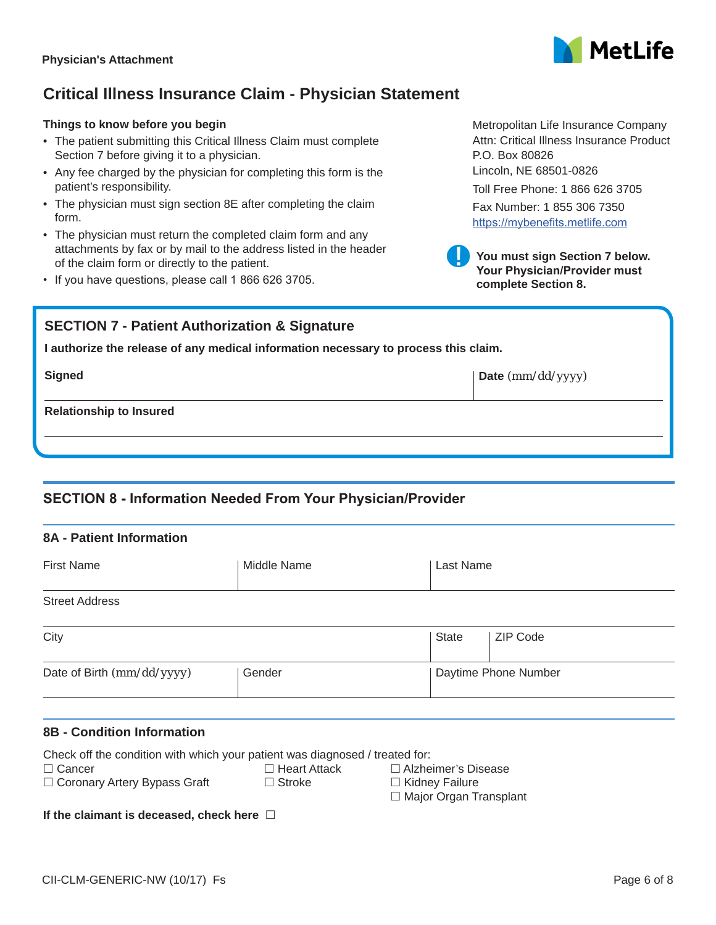## **Critical Illness Insurance Claim - Physician Statement**

## **Things to know before you begin**

- The patient submitting this Critical Illness Claim must complete Section 7 before giving it to a physician.
- Any fee charged by the physician for completing this form is the patient's responsibility.
- The physician must sign section 8E after completing the claim form.
- The physician must return the completed claim form and any attachments by fax or by mail to the address listed in the header of the claim form or directly to the patient.
- If you have questions, please call 1 866 626 3705.

## **SECTION 7 - Patient Authorization & Signature**

**I authorize the release of any medical information necessary to process this claim.**

**Signed Date** *(mm/dd/yyyy)*

**Relationship to Insured**

## **SECTION 8 - Information Needed From Your Physician/Provider**

| <b>8A - Patient Information</b>                                                               |                     |                                 |  |  |
|-----------------------------------------------------------------------------------------------|---------------------|---------------------------------|--|--|
| <b>First Name</b>                                                                             | Middle Name         | Last Name                       |  |  |
| <b>Street Address</b>                                                                         |                     |                                 |  |  |
| City                                                                                          |                     | <b>ZIP Code</b><br><b>State</b> |  |  |
| Date of Birth (mm/dd/yyyy)                                                                    | Gender              | Daytime Phone Number            |  |  |
| <b>8B - Condition Information</b>                                                             |                     |                                 |  |  |
| Check off the condition with which your patient was diagnosed / treated for:<br>$\Box$ Cancer | $\Box$ Heart Attack | □ Alzheimer's Disease           |  |  |

CII-CLM-GENERIC-NW (10/17) Fs Page 6 of 8

 $\Box$  Coronary Artery Bypass Graft  $\Box$  Stroke  $\Box$  Kidney Failure

**If the claimant is deceased, check here** 



Metropolitan Life Insurance Company Attn: Critical Illness Insurance Product P.O. Box 80826 Lincoln, NE 68501-0826

Toll Free Phone: 1 866 626 3705

Fax Number: 1 855 306 7350 https://mybenefits.metlife.com



□ Major Organ Transplant

**Your Physician/Provider must complete Section 8.**

**You must sign Section 7 below.**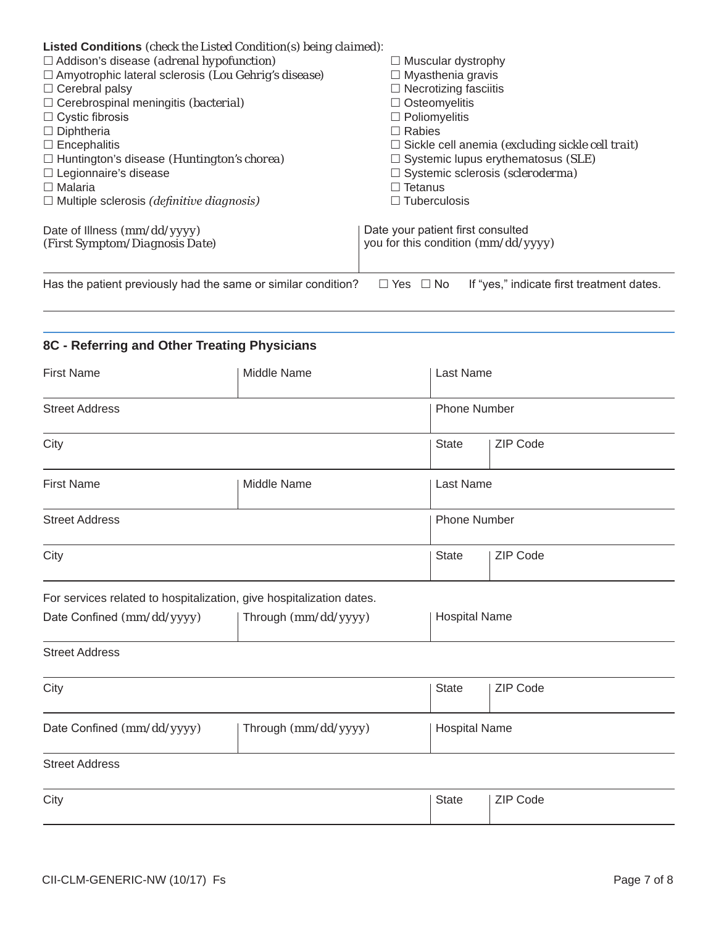| Listed Conditions (check the Listed Condition(s) being claimed): |                                                                   |
|------------------------------------------------------------------|-------------------------------------------------------------------|
| $\Box$ Addison's disease (adrenal hypofunction)                  | $\Box$ Muscular dystrophy                                         |
| $\Box$ Amyotrophic lateral sclerosis (Lou Gehrig's disease)      | $\Box$ Myasthenia gravis                                          |
| $\Box$ Cerebral palsy                                            | $\Box$ Necrotizing fasciitis                                      |
| $\Box$ Cerebrospinal meningitis <i>(bacterial)</i>               | $\Box$ Osteomyelitis                                              |
| $\Box$ Cystic fibrosis                                           | $\Box$ Poliomyelitis                                              |
| $\Box$ Diphtheria                                                | $\Box$ Rabies                                                     |
| $\Box$ Encephalitis                                              | $\Box$ Sickle cell anemia (excluding sickle cell trait)           |
| $\Box$ Huntington's disease ( <i>Huntington's chorea</i> )       | $\Box$ Systemic lupus erythematosus (SLE)                         |
| $\Box$ Legionnaire's disease                                     | $\Box$ Systemic sclerosis (scleroderma)                           |
| $\Box$ Malaria                                                   | $\Box$ Tetanus                                                    |
| $\Box$ Multiple sclerosis (definitive diagnosis)                 | $\Box$ Tuberculosis                                               |
|                                                                  |                                                                   |
| (First Symptom/Diagnosis Date)                                   | you for this condition (mm/dd/yyyy)                               |
|                                                                  |                                                                   |
| Has the patient previously had the same or similar condition?    | If "yes," indicate first treatment dates.<br>$\Box$ Yes $\Box$ No |
|                                                                  |                                                                   |
| Date of Illness $(mm/dd/yyyy)$                                   | Date your patient first consulted                                 |

# **8C - Referring and Other Treating Physicians**

| <b>First Name</b>                                                    | Middle Name | Last Name            |                 |
|----------------------------------------------------------------------|-------------|----------------------|-----------------|
| <b>Street Address</b>                                                |             | <b>Phone Number</b>  |                 |
| City                                                                 |             | <b>State</b>         | ZIP Code        |
| <b>First Name</b>                                                    | Middle Name | Last Name            |                 |
| <b>Street Address</b>                                                |             | <b>Phone Number</b>  |                 |
| City                                                                 |             | <b>State</b>         | ZIP Code        |
| For services related to hospitalization, give hospitalization dates. |             |                      |                 |
| Date Confined (mm/dd/yyyy)<br>Through (mm/dd/yyyy)                   |             | <b>Hospital Name</b> |                 |
| <b>Street Address</b>                                                |             |                      |                 |
| City                                                                 |             | <b>State</b>         | ZIP Code        |
| Date Confined (mm/dd/yyyy)<br>Through (mm/dd/yyyy)                   |             | <b>Hospital Name</b> |                 |
| <b>Street Address</b>                                                |             |                      |                 |
| City                                                                 |             | <b>State</b>         | <b>ZIP Code</b> |